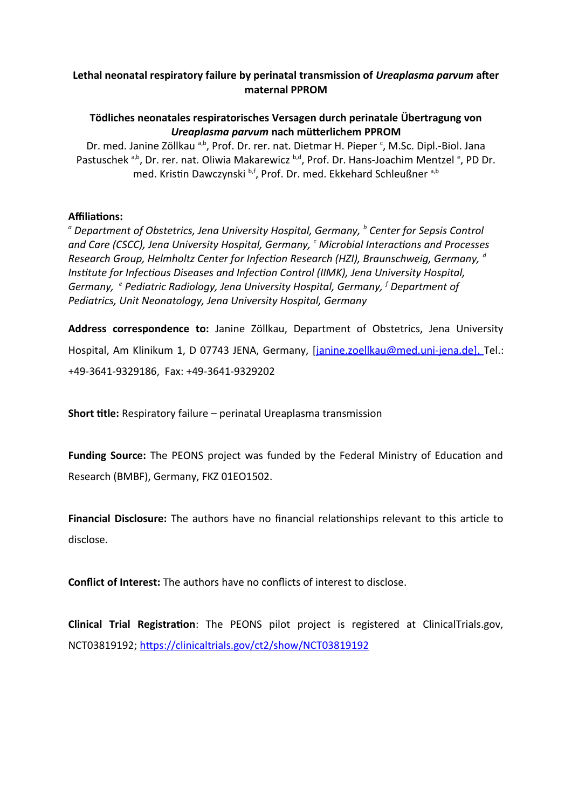# **Lethal neonatal respiratory failure by perinatal transmission of** *Ureaplasma parvum* **after maternal PPROM**

# **Tödliches neonatales respiratorisches Versagen durch perinatale Übertragung von** *Ureaplasma parvum* **nach mütterlichem PPROM**

Dr. med. Janine Zöllkau <sup>a,b</sup>, Prof. Dr. rer. nat. Dietmar H. Pieper<sup>c</sup>, M.Sc. Dipl.-Biol. Jana Pastuschek <sup>a,b</sup>, Dr. rer. nat. Oliwia Makarewicz <sup>b,d</sup>, Prof. Dr. Hans-Joachim Mentzel <sup>e</sup>, PD Dr. med. Kristin Dawczynski b,f, Prof. Dr. med. Ekkehard Schleußner a,b

## **Affiliations:**

*a Department of Obstetrics, Jena University Hospital, Germany, <sup>b</sup> Center for Sepsis Control and Care (CSCC), Jena University Hospital, Germany, <sup>c</sup> Microbial Interactions and Processes Research Group, Helmholtz Center for Infection Research (HZI), Braunschweig, Germany, <sup>d</sup> Institute for Infectious Diseases and Infection Control (IIMK), Jena University Hospital, Germany, <sup>e</sup> Pediatric Radiology, Jena University Hospital, Germany, <sup>f</sup> Department of Pediatrics, Unit Neonatology, Jena University Hospital, Germany*

**Address correspondence to:** Janine Zöllkau, Department of Obstetrics, Jena University Hospital, Am Klinikum 1, D 07743 JENA, Germany, *[janine.zoellkau@med.uni-jena.de]*, Tel.: +49-3641-9329186, Fax: +49-3641-9329202

**Short title:** Respiratory failure – perinatal Ureaplasma transmission

**Funding Source:** The PEONS project was funded by the Federal Ministry of Education and Research (BMBF), Germany, FKZ 01EO1502.

**Financial Disclosure:** The authors have no financial relationships relevant to this article to disclose.

**Conflict of Interest:** The authors have no conflicts of interest to disclose.

**Clinical Trial Registration**: The PEONS pilot project is registered at ClinicalTrials.gov, NCT03819192;<https://clinicaltrials.gov/ct2/show/NCT03819192>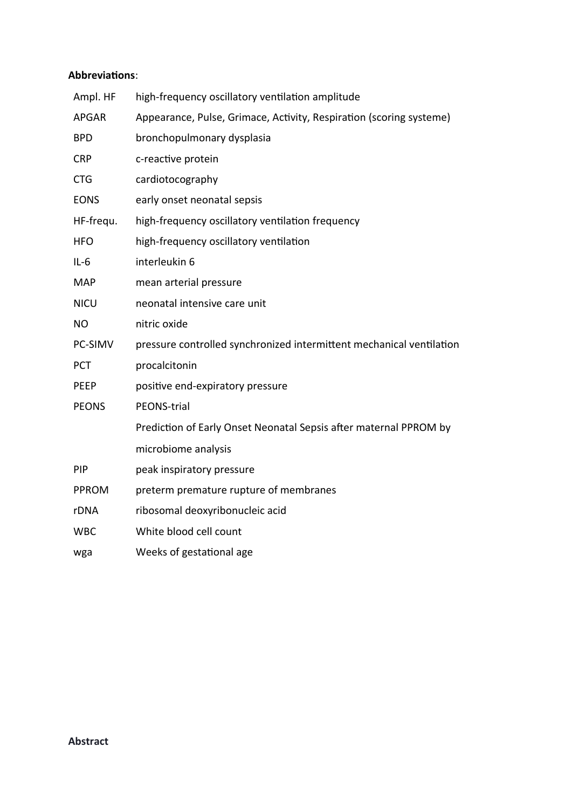## **Abbreviations**:

| Ampl. HF     | high-frequency oscillatory ventilation amplitude                     |
|--------------|----------------------------------------------------------------------|
| <b>APGAR</b> | Appearance, Pulse, Grimace, Activity, Respiration (scoring systeme)  |
| <b>BPD</b>   | bronchopulmonary dysplasia                                           |
| <b>CRP</b>   | c-reactive protein                                                   |
| <b>CTG</b>   | cardiotocography                                                     |
| <b>EONS</b>  | early onset neonatal sepsis                                          |
| HF-frequ.    | high-frequency oscillatory ventilation frequency                     |
| <b>HFO</b>   | high-frequency oscillatory ventilation                               |
| $IL-6$       | interleukin 6                                                        |
| <b>MAP</b>   | mean arterial pressure                                               |
| <b>NICU</b>  | neonatal intensive care unit                                         |
| <b>NO</b>    | nitric oxide                                                         |
| PC-SIMV      | pressure controlled synchronized intermittent mechanical ventilation |
| <b>PCT</b>   | procalcitonin                                                        |
| PEEP         | positive end-expiratory pressure                                     |
| <b>PEONS</b> | PEONS-trial                                                          |
|              | Prediction of Early Onset Neonatal Sepsis after maternal PPROM by    |
|              | microbiome analysis                                                  |
| <b>PIP</b>   | peak inspiratory pressure                                            |
| <b>PPROM</b> | preterm premature rupture of membranes                               |
| rDNA         | ribosomal deoxyribonucleic acid                                      |
| <b>WBC</b>   | White blood cell count                                               |
| wga          | Weeks of gestational age                                             |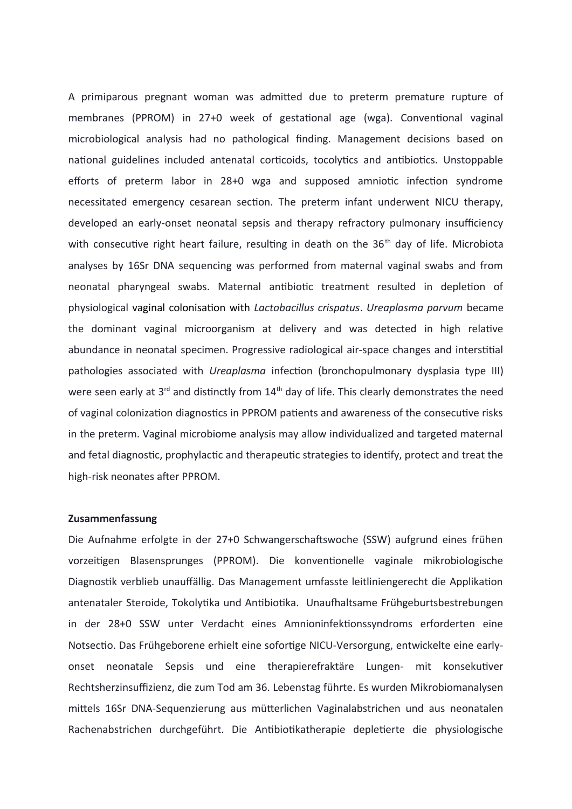A primiparous pregnant woman was admitted due to preterm premature rupture of membranes (PPROM) in 27+0 week of gestational age (wga). Conventional vaginal microbiological analysis had no pathological finding. Management decisions based on national guidelines included antenatal corticoids, tocolytics and antibiotics. Unstoppable efforts of preterm labor in 28+0 wga and supposed amniotic infection syndrome necessitated emergency cesarean section. The preterm infant underwent NICU therapy, developed an early-onset neonatal sepsis and therapy refractory pulmonary insufficiency with consecutive right heart failure, resulting in death on the  $36<sup>th</sup>$  day of life. Microbiota analyses by 16Sr DNA sequencing was performed from maternal vaginal swabs and from neonatal pharyngeal swabs. Maternal antibiotic treatment resulted in depletion of physiological vaginal colonisation with *Lactobacillus crispatus*. *Ureaplasma parvum* became the dominant vaginal microorganism at delivery and was detected in high relative abundance in neonatal specimen. Progressive radiological air-space changes and interstitial pathologies associated with *Ureaplasma* infection (bronchopulmonary dysplasia type III) were seen early at 3<sup>rd</sup> and distinctly from 14<sup>th</sup> day of life. This clearly demonstrates the need of vaginal colonization diagnostics in PPROM patients and awareness of the consecutive risks in the preterm. Vaginal microbiome analysis may allow individualized and targeted maternal and fetal diagnostic, prophylactic and therapeutic strategies to identify, protect and treat the high-risk neonates after PPROM.

#### **Zusammenfassung**

Die Aufnahme erfolgte in der 27+0 Schwangerschaftswoche (SSW) aufgrund eines frühen vorzeitigen Blasensprunges (PPROM). Die konventionelle vaginale mikrobiologische Diagnostik verblieb unauffällig. Das Management umfasste leitliniengerecht die Applikation antenataler Steroide, Tokolytika und Antibiotika. Unaufhaltsame Frühgeburtsbestrebungen in der 28+0 SSW unter Verdacht eines Amnioninfektionssyndroms erforderten eine Notsectio. Das Frühgeborene erhielt eine sofortige NICU-Versorgung, entwickelte eine earlyonset neonatale Sepsis und eine therapierefraktäre Lungen- mit konsekutiver Rechtsherzinsuffizienz, die zum Tod am 36. Lebenstag führte. Es wurden Mikrobiomanalysen mittels 16Sr DNA-Sequenzierung aus mütterlichen Vaginalabstrichen und aus neonatalen Rachenabstrichen durchgeführt. Die Antibiotikatherapie depletierte die physiologische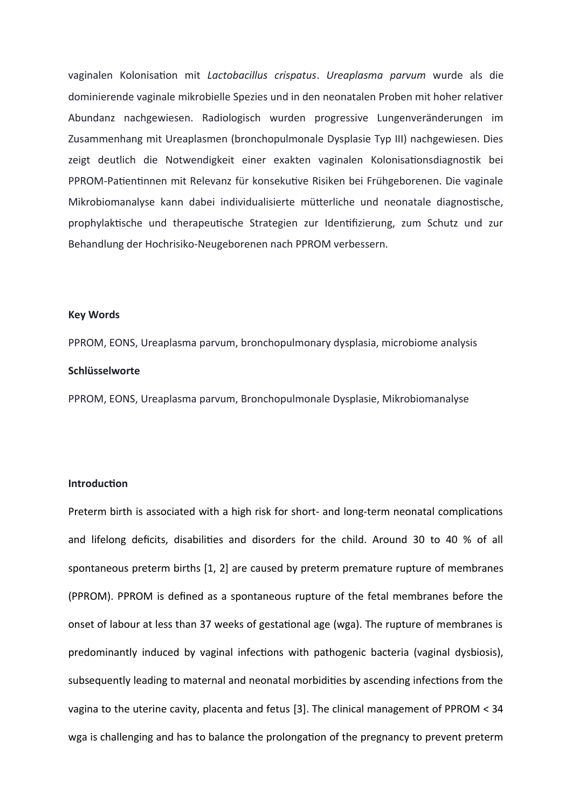vaginalen Kolonisation mit *Lactobacillus crispatus*. *Ureaplasma parvum* wurde als die dominierende vaginale mikrobielle Spezies und in den neonatalen Proben mit hoher relativer Abundanz nachgewiesen. Radiologisch wurden progressive Lungenveränderungen im Zusammenhang mit Ureaplasmen (bronchopulmonale Dysplasie Typ III) nachgewiesen. Dies zeigt deutlich die Notwendigkeit einer exakten vaginalen Kolonisationsdiagnostik bei PPROM-Patientinnen mit Relevanz für konsekutive Risiken bei Frühgeborenen. Die vaginale Mikrobiomanalyse kann dabei individualisierte mütterliche und neonatale diagnostische, prophylaktische und therapeutische Strategien zur Identifizierung, zum Schutz und zur Behandlung der Hochrisiko-Neugeborenen nach PPROM verbessern.

#### **Key Words**

PPROM, EONS, Ureaplasma parvum, bronchopulmonary dysplasia, microbiome analysis **Schlüsselworte**

PPROM, EONS, Ureaplasma parvum, Bronchopulmonale Dysplasie, Mikrobiomanalyse

### **Introduction**

Preterm birth is associated with a high risk for short- and long-term neonatal complications and lifelong deficits, disabilities and disorders for the child. Around 30 to 40 % of all spontaneous preterm births [1, 2] are caused by preterm premature rupture of membranes (PPROM). PPROM is defined as a spontaneous rupture of the fetal membranes before the onset of labour at less than 37 weeks of gestational age (wga). The rupture of membranes is predominantly induced by vaginal infections with pathogenic bacteria (vaginal dysbiosis), subsequently leading to maternal and neonatal morbidities by ascending infections from the vagina to the uterine cavity, placenta and fetus [3]. The clinical management of PPROM < 34 wga is challenging and has to balance the prolongation of the pregnancy to prevent preterm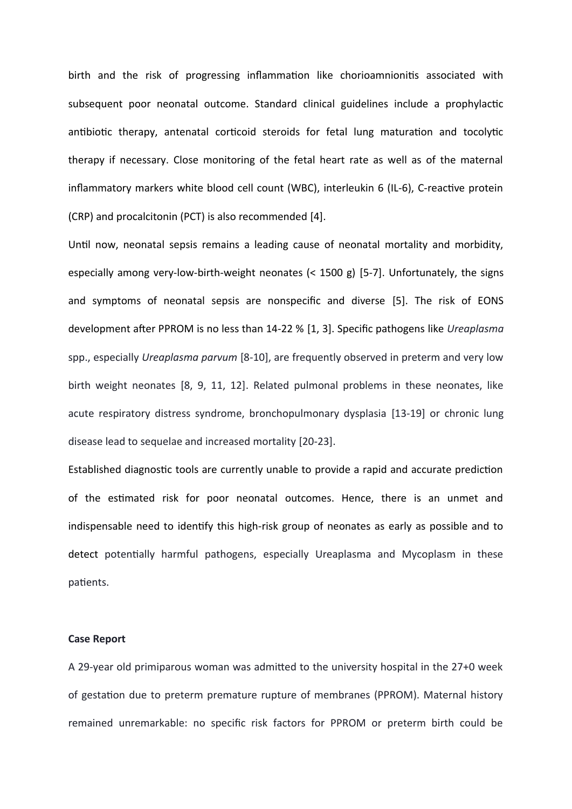birth and the risk of progressing inflammation like chorioamnionitis associated with subsequent poor neonatal outcome. Standard clinical guidelines include a prophylactic antibiotic therapy, antenatal corticoid steroids for fetal lung maturation and tocolytic therapy if necessary. Close monitoring of the fetal heart rate as well as of the maternal inflammatory markers white blood cell count (WBC), interleukin 6 (IL-6), C-reactive protein (CRP) and procalcitonin (PCT) is also recommended [4].

Until now, neonatal sepsis remains a leading cause of neonatal mortality and morbidity, especially among very-low-birth-weight neonates (< 1500 g) [5-7]. Unfortunately, the signs and symptoms of neonatal sepsis are nonspecific and diverse [5]. The risk of EONS development after PPROM is no less than 14-22 % [1, 3]. Specific pathogens like *Ureaplasma* spp., especially *Ureaplasma parvum* [8-10], are frequently observed in preterm and very low birth weight neonates [8, 9, 11, 12]. Related pulmonal problems in these neonates, like acute respiratory distress syndrome, bronchopulmonary dysplasia [13-19] or chronic lung disease lead to sequelae and increased mortality [20-23].

Established diagnostic tools are currently unable to provide a rapid and accurate prediction of the estimated risk for poor neonatal outcomes. Hence, there is an unmet and indispensable need to identify this high-risk group of neonates as early as possible and to detect potentially harmful pathogens, especially Ureaplasma and Mycoplasm in these patients.

#### **Case Report**

A 29-year old primiparous woman was admitted to the university hospital in the 27+0 week of gestation due to preterm premature rupture of membranes (PPROM). Maternal history remained unremarkable: no specific risk factors for PPROM or preterm birth could be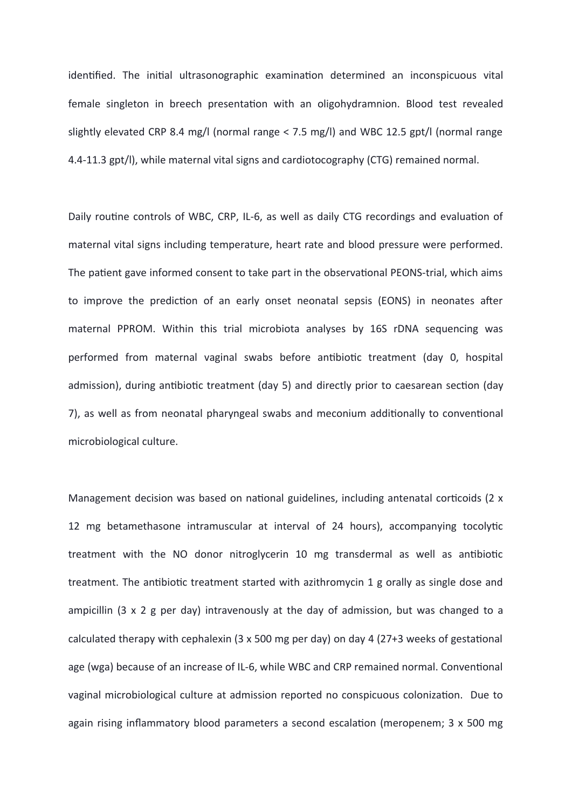identified. The initial ultrasonographic examination determined an inconspicuous vital female singleton in breech presentation with an oligohydramnion. Blood test revealed slightly elevated CRP 8.4 mg/l (normal range < 7.5 mg/l) and WBC 12.5 gpt/l (normal range 4.4-11.3 gpt/l), while maternal vital signs and cardiotocography (CTG) remained normal.

Daily routine controls of WBC, CRP, IL-6, as well as daily CTG recordings and evaluation of maternal vital signs including temperature, heart rate and blood pressure were performed. The patient gave informed consent to take part in the observational PEONS-trial, which aims to improve the prediction of an early onset neonatal sepsis (EONS) in neonates after maternal PPROM. Within this trial microbiota analyses by 16S rDNA sequencing was performed from maternal vaginal swabs before antibiotic treatment (day 0, hospital admission), during antibiotic treatment (day 5) and directly prior to caesarean section (day 7), as well as from neonatal pharyngeal swabs and meconium additionally to conventional microbiological culture.

Management decision was based on national guidelines, including antenatal corticoids (2 x 12 mg betamethasone intramuscular at interval of 24 hours), accompanying tocolytic treatment with the NO donor nitroglycerin 10 mg transdermal as well as antibiotic treatment. The antibiotic treatment started with azithromycin 1 g orally as single dose and ampicillin (3 x 2 g per day) intravenously at the day of admission, but was changed to a calculated therapy with cephalexin (3 x 500 mg per day) on day 4 (27+3 weeks of gestational age (wga) because of an increase of IL-6, while WBC and CRP remained normal. Conventional vaginal microbiological culture at admission reported no conspicuous colonization. Due to again rising inflammatory blood parameters a second escalation (meropenem; 3 x 500 mg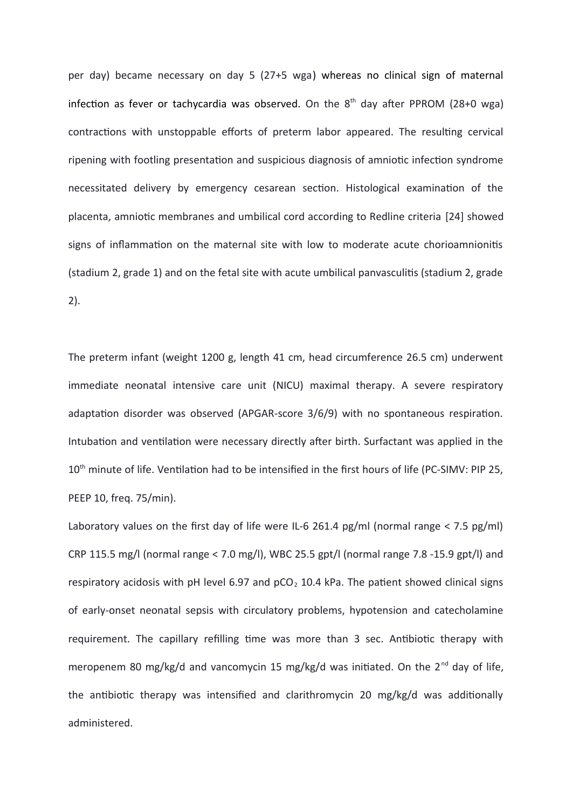per day) became necessary on day 5 (27+5 wga) whereas no clinical sign of maternal infection as fever or tachycardia was observed. On the  $8<sup>th</sup>$  day after PPROM (28+0 wga) contractions with unstoppable efforts of preterm labor appeared. The resulting cervical ripening with footling presentation and suspicious diagnosis of amniotic infection syndrome necessitated delivery by emergency cesarean section. Histological examination of the placenta, amniotic membranes and umbilical cord according to Redline criteria [24] showed signs of inflammation on the maternal site with low to moderate acute chorioamnionitis (stadium 2, grade 1) and on the fetal site with acute umbilical panvasculitis (stadium 2, grade 2).

The preterm infant (weight 1200 g, length 41 cm, head circumference 26.5 cm) underwent immediate neonatal intensive care unit (NICU) maximal therapy. A severe respiratory adaptation disorder was observed (APGAR-score 3/6/9) with no spontaneous respiration. Intubation and ventilation were necessary directly after birth. Surfactant was applied in the 10<sup>th</sup> minute of life. Ventilation had to be intensified in the first hours of life (PC-SIMV: PIP 25, PEEP 10, freq. 75/min).

Laboratory values on the first day of life were IL-6 261.4 pg/ml (normal range < 7.5 pg/ml) CRP 115.5 mg/l (normal range < 7.0 mg/l), WBC 25.5 gpt/l (normal range 7.8 -15.9 gpt/l) and respiratory acidosis with pH level 6.97 and  $pCO<sub>2</sub>$  10.4 kPa. The patient showed clinical signs of early-onset neonatal sepsis with circulatory problems, hypotension and catecholamine requirement. The capillary refilling time was more than 3 sec. Antibiotic therapy with meropenem 80 mg/kg/d and vancomycin 15 mg/kg/d was initiated. On the  $2^{nd}$  day of life, the antibiotic therapy was intensified and clarithromycin 20 mg/kg/d was additionally administered.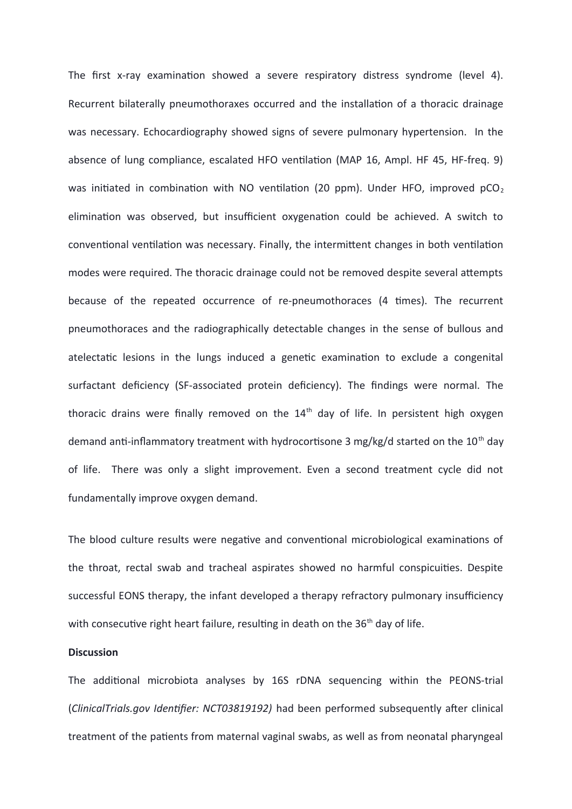The first x-ray examination showed a severe respiratory distress syndrome (level 4). Recurrent bilaterally pneumothoraxes occurred and the installation of a thoracic drainage was necessary. Echocardiography showed signs of severe pulmonary hypertension. In the absence of lung compliance, escalated HFO ventilation (MAP 16, Ampl. HF 45, HF-freq. 9) was initiated in combination with NO ventilation (20 ppm). Under HFO, improved  $pCO<sub>2</sub>$ elimination was observed, but insufficient oxygenation could be achieved. A switch to conventional ventilation was necessary. Finally, the intermittent changes in both ventilation modes were required. The thoracic drainage could not be removed despite several attempts because of the repeated occurrence of re-pneumothoraces (4 times). The recurrent pneumothoraces and the radiographically detectable changes in the sense of bullous and atelectatic lesions in the lungs induced a genetic examination to exclude a congenital surfactant deficiency (SF-associated protein deficiency). The findings were normal. The thoracic drains were finally removed on the  $14<sup>th</sup>$  day of life. In persistent high oxygen demand anti-inflammatory treatment with hydrocortisone 3 mg/kg/d started on the 10<sup>th</sup> day of life. There was only a slight improvement. Even a second treatment cycle did not fundamentally improve oxygen demand.

The blood culture results were negative and conventional microbiological examinations of the throat, rectal swab and tracheal aspirates showed no harmful conspicuities. Despite successful EONS therapy, the infant developed a therapy refractory pulmonary insufficiency with consecutive right heart failure, resulting in death on the  $36<sup>th</sup>$  day of life.

### **Discussion**

The additional microbiota analyses by 16S rDNA sequencing within the PEONS-trial (*ClinicalTrials.gov Identifier: NCT03819192)* had been performed subsequently after clinical treatment of the patients from maternal vaginal swabs, as well as from neonatal pharyngeal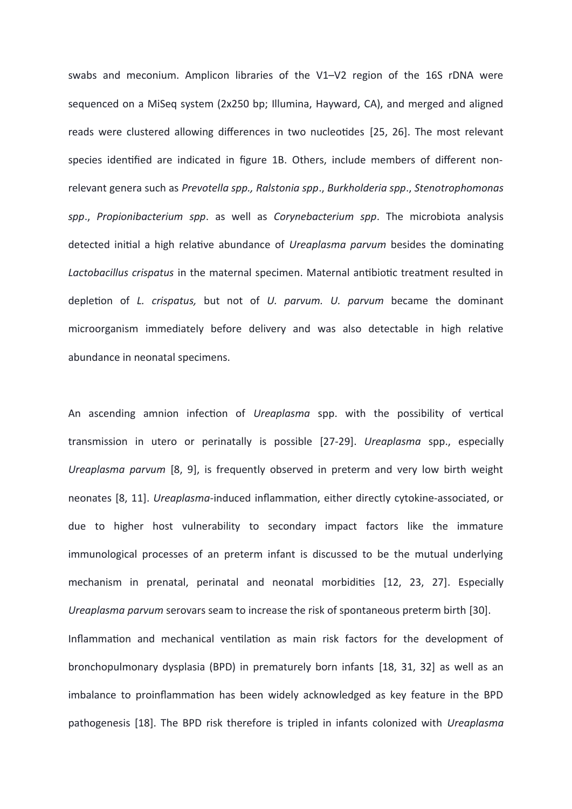swabs and meconium. Amplicon libraries of the V1–V2 region of the 16S rDNA were sequenced on a MiSeq system (2x250 bp; Illumina, Hayward, CA), and merged and aligned reads were clustered allowing differences in two nucleotides [25, 26]. The most relevant species identified are indicated in figure 1B. Others, include members of different nonrelevant genera such as *Prevotella spp., Ralstonia spp*., *Burkholderia spp*., *Stenotrophomonas spp*., *Propionibacterium spp*. as well as *Corynebacterium spp*. The microbiota analysis detected initial a high relative abundance of *Ureaplasma parvum* besides the dominating *Lactobacillus crispatus* in the maternal specimen. Maternal antibiotic treatment resulted in depletion of *L. crispatus,* but not of *U. parvum. U. parvum* became the dominant microorganism immediately before delivery and was also detectable in high relative abundance in neonatal specimens.

An ascending amnion infection of *Ureaplasma* spp. with the possibility of vertical transmission in utero or perinatally is possible [27-29]. *Ureaplasma* spp., especially *Ureaplasma parvum* [8, 9], is frequently observed in preterm and very low birth weight neonates [8, 11]. *Ureaplasma-*induced inflammation, either directly cytokine-associated, or due to higher host vulnerability to secondary impact factors like the immature immunological processes of an preterm infant is discussed to be the mutual underlying mechanism in prenatal, perinatal and neonatal morbidities [12, 23, 27]. Especially *Ureaplasma parvum* serovars seam to increase the risk of spontaneous preterm birth [30].

Inflammation and mechanical ventilation as main risk factors for the development of bronchopulmonary dysplasia (BPD) in prematurely born infants [18, 31, 32] as well as an imbalance to proinflammation has been widely acknowledged as key feature in the BPD pathogenesis [18]. The BPD risk therefore is tripled in infants colonized with *Ureaplasma*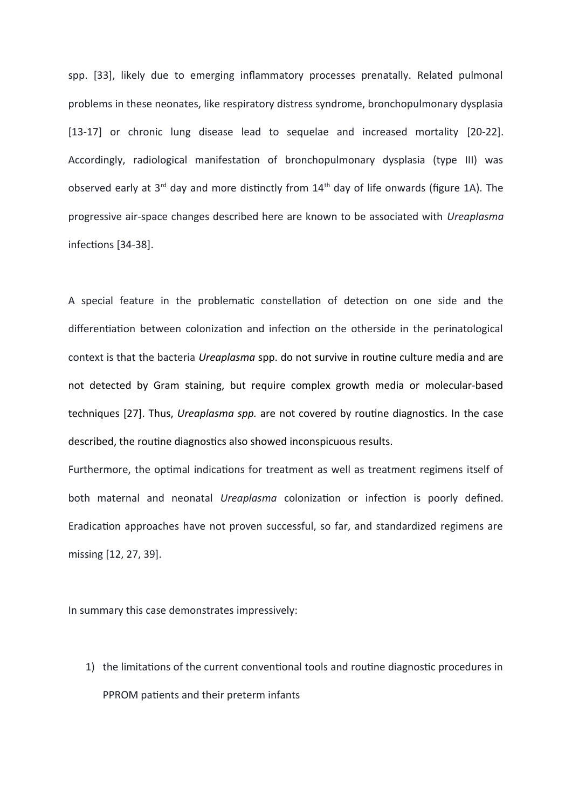spp. [33], likely due to emerging inflammatory processes prenatally. Related pulmonal problems in these neonates, like respiratory distress syndrome, bronchopulmonary dysplasia [13-17] or chronic lung disease lead to sequelae and increased mortality [20-22]. Accordingly, radiological manifestation of bronchopulmonary dysplasia (type III) was observed early at  $3<sup>rd</sup>$  day and more distinctly from  $14<sup>th</sup>$  day of life onwards (figure 1A). The progressive air-space changes described here are known to be associated with *Ureaplasma* infections [34-38].

A special feature in the problematic constellation of detection on one side and the differentiation between colonization and infection on the otherside in the perinatological context is that the bacteria *Ureaplasma* spp. do not survive in routine culture media and are not detected by Gram staining, but require complex growth media or molecular-based techniques [27]. Thus, *Ureaplasma spp.* are not covered by routine diagnostics. In the case described, the routine diagnostics also showed inconspicuous results.

Furthermore, the optimal indications for treatment as well as treatment regimens itself of both maternal and neonatal *Ureaplasma* colonization or infection is poorly defined. Eradication approaches have not proven successful, so far, and standardized regimens are missing [12, 27, 39].

In summary this case demonstrates impressively:

1) the limitations of the current conventional tools and routine diagnostic procedures in PPROM patients and their preterm infants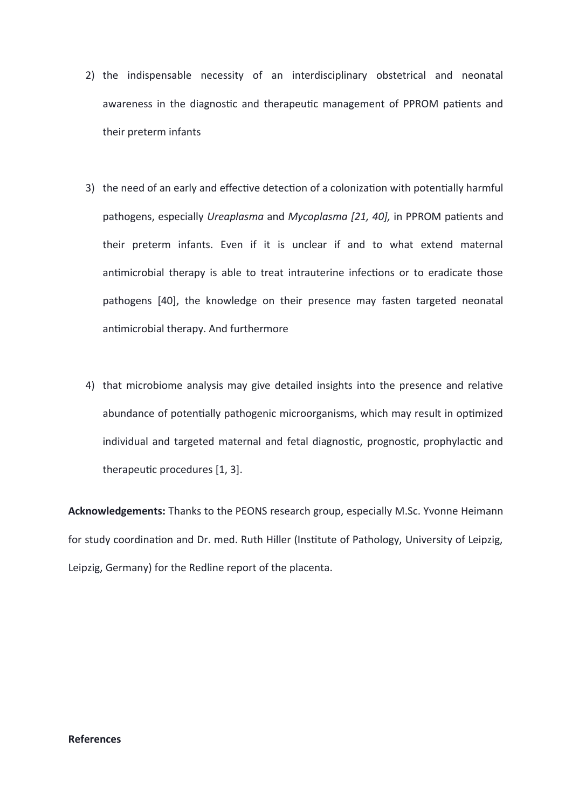- 2) the indispensable necessity of an interdisciplinary obstetrical and neonatal awareness in the diagnostic and therapeutic management of PPROM patients and their preterm infants
- 3) the need of an early and effective detection of a colonization with potentially harmful pathogens, especially *Ureaplasma* and *Mycoplasma [21, 40],* in PPROM patients and their preterm infants. Even if it is unclear if and to what extend maternal antimicrobial therapy is able to treat intrauterine infections or to eradicate those pathogens [40], the knowledge on their presence may fasten targeted neonatal antimicrobial therapy. And furthermore
- 4) that microbiome analysis may give detailed insights into the presence and relative abundance of potentially pathogenic microorganisms, which may result in optimized individual and targeted maternal and fetal diagnostic, prognostic, prophylactic and therapeutic procedures [1, 3].

**Acknowledgements:** Thanks to the PEONS research group, especially M.Sc. Yvonne Heimann for study coordination and Dr. med. Ruth Hiller (Institute of Pathology, University of Leipzig, Leipzig, Germany) for the Redline report of the placenta.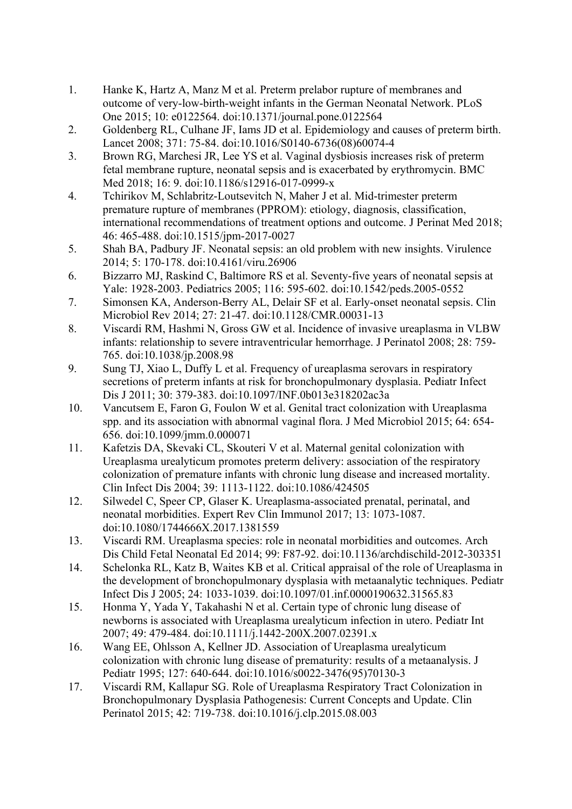- 1. Hanke K, Hartz A, Manz M et al. Preterm prelabor rupture of membranes and outcome of very-low-birth-weight infants in the German Neonatal Network. PLoS One 2015; 10: e0122564. doi:10.1371/journal.pone.0122564
- 2. Goldenberg RL, Culhane JF, Iams JD et al. Epidemiology and causes of preterm birth. Lancet 2008; 371: 75-84. doi:10.1016/S0140-6736(08)60074-4
- 3. Brown RG, Marchesi JR, Lee YS et al. Vaginal dysbiosis increases risk of preterm fetal membrane rupture, neonatal sepsis and is exacerbated by erythromycin. BMC Med 2018; 16: 9. doi:10.1186/s12916-017-0999-x
- 4. Tchirikov M, Schlabritz-Loutsevitch N, Maher J et al. Mid-trimester preterm premature rupture of membranes (PPROM): etiology, diagnosis, classification, international recommendations of treatment options and outcome. J Perinat Med 2018; 46: 465-488. doi:10.1515/jpm-2017-0027
- 5. Shah BA, Padbury JF. Neonatal sepsis: an old problem with new insights. Virulence 2014; 5: 170-178. doi:10.4161/viru.26906
- 6. Bizzarro MJ, Raskind C, Baltimore RS et al. Seventy-five years of neonatal sepsis at Yale: 1928-2003. Pediatrics 2005; 116: 595-602. doi:10.1542/peds.2005-0552
- 7. Simonsen KA, Anderson-Berry AL, Delair SF et al. Early-onset neonatal sepsis. Clin Microbiol Rev 2014; 27: 21-47. doi:10.1128/CMR.00031-13
- 8. Viscardi RM, Hashmi N, Gross GW et al. Incidence of invasive ureaplasma in VLBW infants: relationship to severe intraventricular hemorrhage. J Perinatol 2008; 28: 759- 765. doi:10.1038/jp.2008.98
- 9. Sung TJ, Xiao L, Duffy L et al. Frequency of ureaplasma serovars in respiratory secretions of preterm infants at risk for bronchopulmonary dysplasia. Pediatr Infect Dis J 2011; 30: 379-383. doi:10.1097/INF.0b013e318202ac3a
- 10. Vancutsem E, Faron G, Foulon W et al. Genital tract colonization with Ureaplasma spp. and its association with abnormal vaginal flora. J Med Microbiol 2015; 64: 654- 656. doi:10.1099/jmm.0.000071
- 11. Kafetzis DA, Skevaki CL, Skouteri V et al. Maternal genital colonization with Ureaplasma urealyticum promotes preterm delivery: association of the respiratory colonization of premature infants with chronic lung disease and increased mortality. Clin Infect Dis 2004; 39: 1113-1122. doi:10.1086/424505
- 12. Silwedel C, Speer CP, Glaser K. Ureaplasma-associated prenatal, perinatal, and neonatal morbidities. Expert Rev Clin Immunol 2017; 13: 1073-1087. doi:10.1080/1744666X.2017.1381559
- 13. Viscardi RM. Ureaplasma species: role in neonatal morbidities and outcomes. Arch Dis Child Fetal Neonatal Ed 2014; 99: F87-92. doi:10.1136/archdischild-2012-303351
- 14. Schelonka RL, Katz B, Waites KB et al. Critical appraisal of the role of Ureaplasma in the development of bronchopulmonary dysplasia with metaanalytic techniques. Pediatr Infect Dis J 2005; 24: 1033-1039. doi:10.1097/01.inf.0000190632.31565.83
- 15. Honma Y, Yada Y, Takahashi N et al. Certain type of chronic lung disease of newborns is associated with Ureaplasma urealyticum infection in utero. Pediatr Int 2007; 49: 479-484. doi:10.1111/j.1442-200X.2007.02391.x
- 16. Wang EE, Ohlsson A, Kellner JD. Association of Ureaplasma urealyticum colonization with chronic lung disease of prematurity: results of a metaanalysis. J Pediatr 1995; 127: 640-644. doi:10.1016/s0022-3476(95)70130-3
- 17. Viscardi RM, Kallapur SG. Role of Ureaplasma Respiratory Tract Colonization in Bronchopulmonary Dysplasia Pathogenesis: Current Concepts and Update. Clin Perinatol 2015; 42: 719-738. doi:10.1016/j.clp.2015.08.003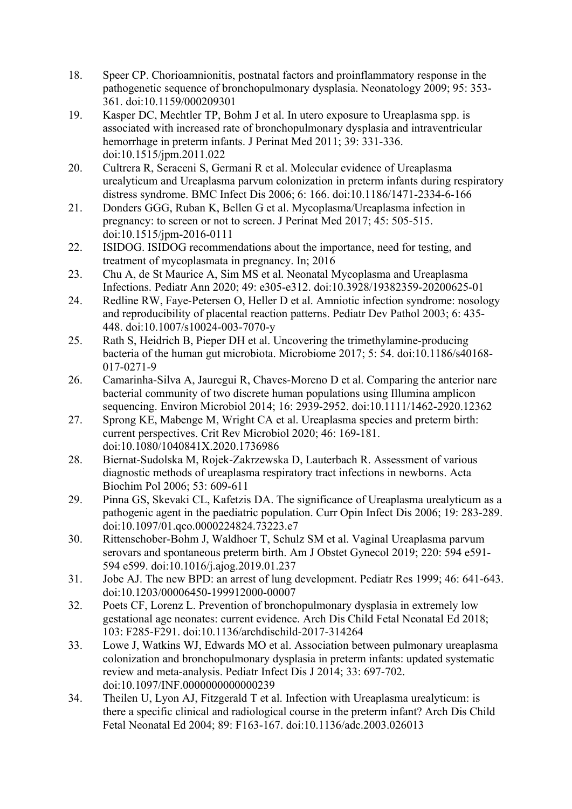- 18. Speer CP. Chorioamnionitis, postnatal factors and proinflammatory response in the pathogenetic sequence of bronchopulmonary dysplasia. Neonatology 2009; 95: 353- 361. doi:10.1159/000209301
- 19. Kasper DC, Mechtler TP, Bohm J et al. In utero exposure to Ureaplasma spp. is associated with increased rate of bronchopulmonary dysplasia and intraventricular hemorrhage in preterm infants. J Perinat Med 2011; 39: 331-336. doi:10.1515/jpm.2011.022
- 20. Cultrera R, Seraceni S, Germani R et al. Molecular evidence of Ureaplasma urealyticum and Ureaplasma parvum colonization in preterm infants during respiratory distress syndrome. BMC Infect Dis 2006; 6: 166. doi:10.1186/1471-2334-6-166
- 21. Donders GGG, Ruban K, Bellen G et al. Mycoplasma/Ureaplasma infection in pregnancy: to screen or not to screen. J Perinat Med 2017; 45: 505-515. doi:10.1515/jpm-2016-0111
- 22. ISIDOG. ISIDOG recommendations about the importance, need for testing, and treatment of mycoplasmata in pregnancy. In; 2016
- 23. Chu A, de St Maurice A, Sim MS et al. Neonatal Mycoplasma and Ureaplasma Infections. Pediatr Ann 2020; 49: e305-e312. doi:10.3928/19382359-20200625-01
- 24. Redline RW, Faye-Petersen O, Heller D et al. Amniotic infection syndrome: nosology and reproducibility of placental reaction patterns. Pediatr Dev Pathol 2003; 6: 435- 448. doi:10.1007/s10024-003-7070-y
- 25. Rath S, Heidrich B, Pieper DH et al. Uncovering the trimethylamine-producing bacteria of the human gut microbiota. Microbiome 2017; 5: 54. doi:10.1186/s40168- 017-0271-9
- 26. Camarinha-Silva A, Jauregui R, Chaves-Moreno D et al. Comparing the anterior nare bacterial community of two discrete human populations using Illumina amplicon sequencing. Environ Microbiol 2014; 16: 2939-2952. doi:10.1111/1462-2920.12362
- 27. Sprong KE, Mabenge M, Wright CA et al. Ureaplasma species and preterm birth: current perspectives. Crit Rev Microbiol 2020; 46: 169-181. doi:10.1080/1040841X.2020.1736986
- 28. Biernat-Sudolska M, Rojek-Zakrzewska D, Lauterbach R. Assessment of various diagnostic methods of ureaplasma respiratory tract infections in newborns. Acta Biochim Pol 2006; 53: 609-611
- 29. Pinna GS, Skevaki CL, Kafetzis DA. The significance of Ureaplasma urealyticum as a pathogenic agent in the paediatric population. Curr Opin Infect Dis 2006; 19: 283-289. doi:10.1097/01.qco.0000224824.73223.e7
- 30. Rittenschober-Bohm J, Waldhoer T, Schulz SM et al. Vaginal Ureaplasma parvum serovars and spontaneous preterm birth. Am J Obstet Gynecol 2019; 220: 594 e591- 594 e599. doi:10.1016/j.ajog.2019.01.237
- 31. Jobe AJ. The new BPD: an arrest of lung development. Pediatr Res 1999; 46: 641-643. doi:10.1203/00006450-199912000-00007
- 32. Poets CF, Lorenz L. Prevention of bronchopulmonary dysplasia in extremely low gestational age neonates: current evidence. Arch Dis Child Fetal Neonatal Ed 2018; 103: F285-F291. doi:10.1136/archdischild-2017-314264
- 33. Lowe J, Watkins WJ, Edwards MO et al. Association between pulmonary ureaplasma colonization and bronchopulmonary dysplasia in preterm infants: updated systematic review and meta-analysis. Pediatr Infect Dis J 2014; 33: 697-702. doi:10.1097/INF.0000000000000239
- 34. Theilen U, Lyon AJ, Fitzgerald T et al. Infection with Ureaplasma urealyticum: is there a specific clinical and radiological course in the preterm infant? Arch Dis Child Fetal Neonatal Ed 2004; 89: F163-167. doi:10.1136/adc.2003.026013